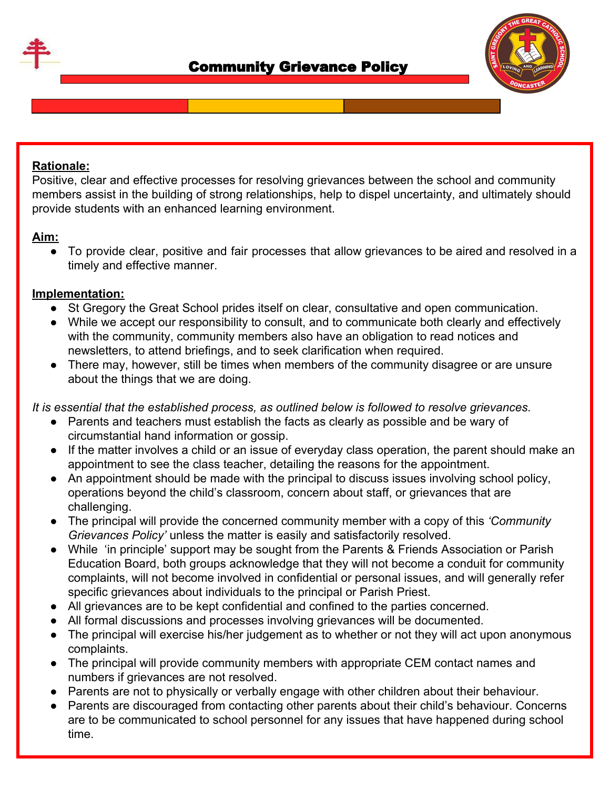



## **Rationale:**

Positive, clear and effective processes for resolving grievances between the school and community members assist in the building of strong relationships, help to dispel uncertainty, and ultimately should provide students with an enhanced learning environment.

## **Aim:**

● To provide clear, positive and fair processes that allow grievances to be aired and resolved in a timely and effective manner.

## **Implementation:**

- St Gregory the Great School prides itself on clear, consultative and open communication.
- While we accept our responsibility to consult, and to communicate both clearly and effectively with the community, community members also have an obligation to read notices and newsletters, to attend briefings, and to seek clarification when required.
- There may, however, still be times when members of the community disagree or are unsure about the things that we are doing.

*It is essential that the established process, as outlined below is followed to resolve grievances.*

- Parents and teachers must establish the facts as clearly as possible and be wary of circumstantial hand information or gossip.
- If the matter involves a child or an issue of everyday class operation, the parent should make an appointment to see the class teacher, detailing the reasons for the appointment.
- An appointment should be made with the principal to discuss issues involving school policy, operations beyond the child's classroom, concern about staff, or grievances that are challenging.
- The principal will provide the concerned community member with a copy of this *'Community Grievances Policy'* unless the matter is easily and satisfactorily resolved.
- While 'in principle' support may be sought from the Parents & Friends Association or Parish Education Board, both groups acknowledge that they will not become a conduit for community complaints, will not become involved in confidential or personal issues, and will generally refer specific grievances about individuals to the principal or Parish Priest.
- All grievances are to be kept confidential and confined to the parties concerned.
- All formal discussions and processes involving grievances will be documented.
- The principal will exercise his/her judgement as to whether or not they will act upon anonymous complaints.
- The principal will provide community members with appropriate CEM contact names and numbers if grievances are not resolved.
- Parents are not to physically or verbally engage with other children about their behaviour.
- Parents are discouraged from contacting other parents about their child's behaviour. Concerns are to be communicated to school personnel for any issues that have happened during school time.